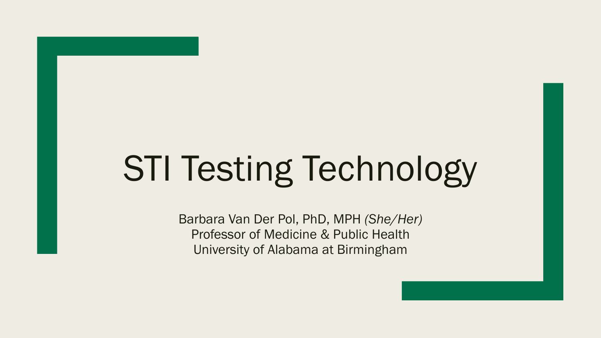# STI Testing Technology

Barbara Van Der Pol, PhD, MPH *(She/Her)* Professor of Medicine & Public Health University of Alabama at Birmingham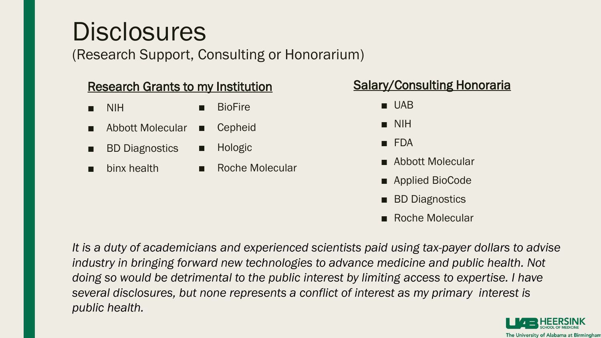## **Disclosures**

(Research Support, Consulting or Honorarium)

#### Research Grants to my Institution

- NIH **BioFire**
- Abbott Molecular ■ Cepheid
- **BD Diagnostics** ■ Hologic
- binx health

■ Roche Molecular

#### Salary/Consulting Honoraria

- UAB
- NIH
- FDA
- Abbott Molecular
- Applied BioCode
- BD Diagnostics
- Roche Molecular

*It is a duty of academicians and experienced scientists paid using tax-payer dollars to advise*  industry in bringing forward new technologies to advance medicine and public health. Not *doing so would be detrimental to the public interest by limiting access to expertise. I have several disclosures, but none represents a conflict of interest as my primary interest is public health.*

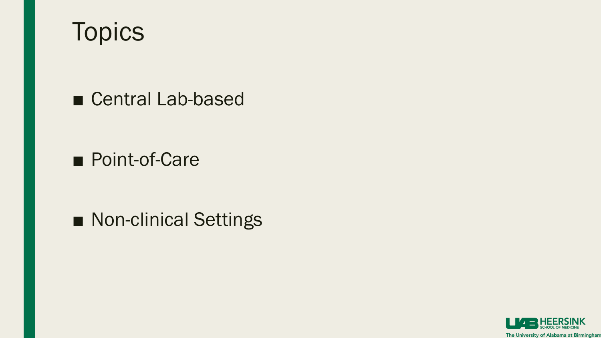

■ Central Lab-based

■ Point-of-Care

■ Non-clinical Settings

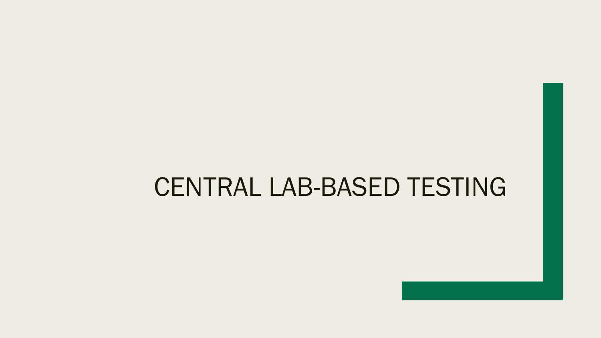#### CENTRAL LAB-BASED TESTING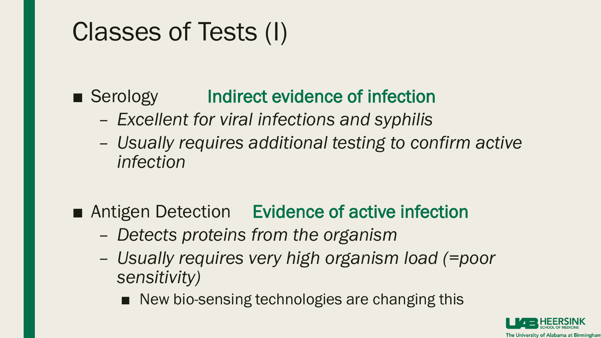# Classes of Tests (I)

■ Serology Indirect evidence of infection

- *Excellent for viral infections and syphilis*
- *Usually requires additional testing to confirm active infection*
- Antigen Detection Evidence of active infection
	- *Detects proteins from the organism*
	- *Usually requires very high organism load (=poor sensitivity)*
		- New bio-sensing technologies are changing this

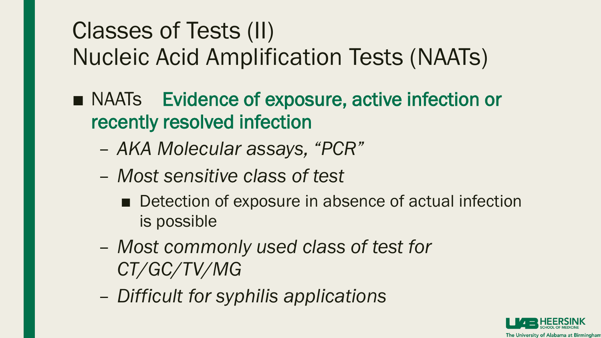### Classes of Tests (II) Nucleic Acid Amplification Tests (NAATs)

- NAATs Evidence of exposure, active infection or recently resolved infection
	- *AKA Molecular assays, "PCR"*
	- *Most sensitive class of test*
		- Detection of exposure in absence of actual infection is possible
	- *Most commonly used class of test for CT/GC/TV/MG*
	- *Difficult for syphilis applications*

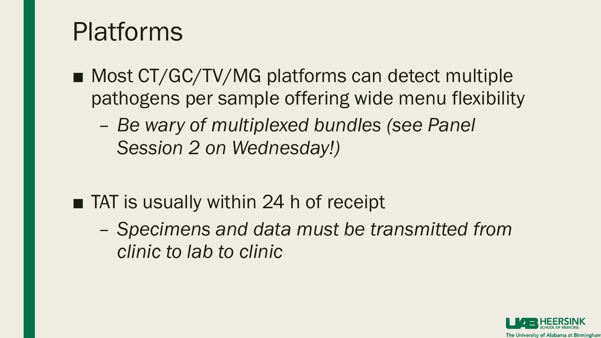# Platforms

- Most CT/GC/TV/MG platforms can detect multiple pathogens per sample offering wide menu flexibility
	- *Be wary of multiplexed bundles (see Panel Session 2 on Wednesday!)*
- TAT is usually within 24 h of receipt
	- *Specimens and data must be transmitted from clinic to lab to clinic*

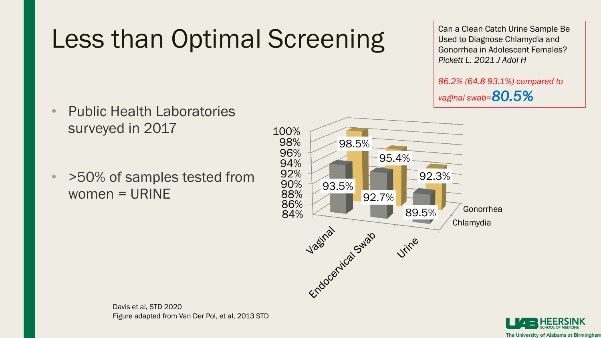# Less than Optimal Screening

Can a Clean Catch Urine Sample Be Used to Diagnose Chlamydia and Gonorrhea in Adolescent Females? *Pickett L. 2021 J Adol H*

*86.2% (64.8-93.1%) compared to vaginal swab=80.5%*

- Public Health Laboratories surveyed in 2017
- >50% of samples tested from women = URINE





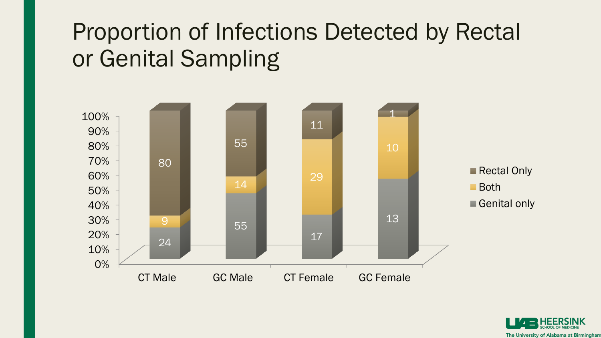### Proportion of Infections Detected by Rectal or Genital Sampling



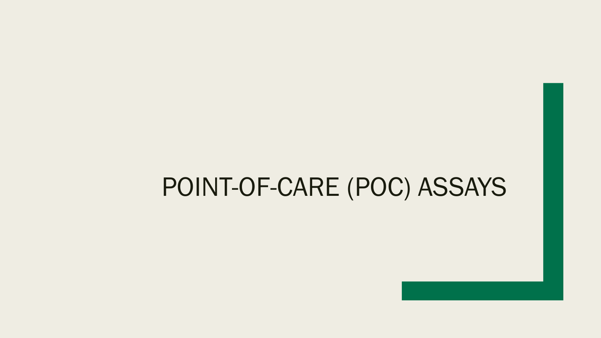#### POINT-OF-CARE (POC) ASSAYS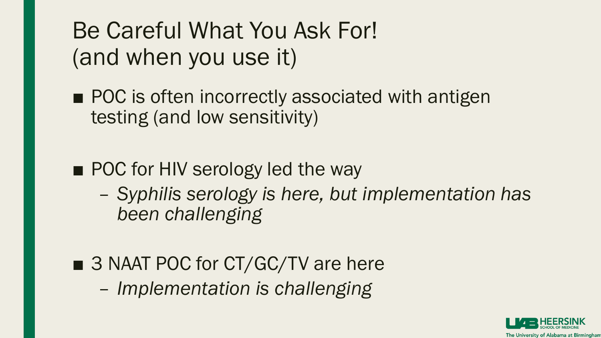#### Be Careful What You Ask For! (and when you use it)

- POC is often incorrectly associated with antigen testing (and low sensitivity)
- POC for HIV serology led the way
	- *Syphilis serology is here, but implementation has been challenging*
- 3 NAAT POC for CT/GC/TV are here
	- *Implementation is challenging*

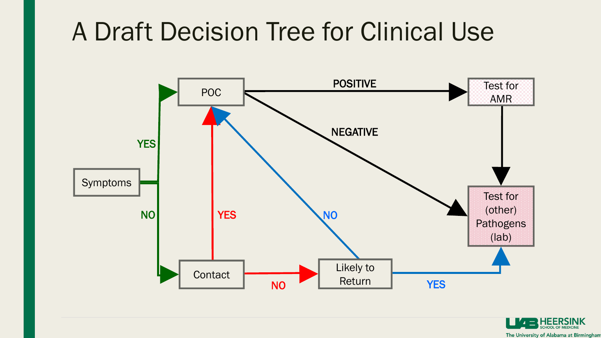# A Draft Decision Tree for Clinical Use



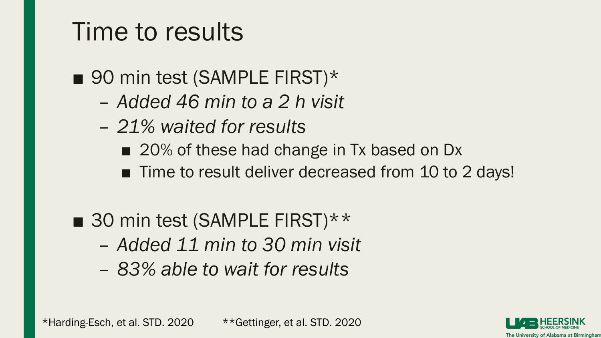### Time to results

■ 90 min test (SAMPLE FIRST)\*

- *Added 46 min to a 2 h visit*
- *21% waited for results*
	- 20% of these had change in Tx based on Dx
	- Time to result deliver decreased from 10 to 2 days!
- 30 min test (SAMPLE FIRST)\*\*
	- *Added 11 min to 30 min visit*
	- *83% able to wait for results*

\*Harding-Esch, et al. STD. 2020 \*\*Gettinger, et al. STD. 2020

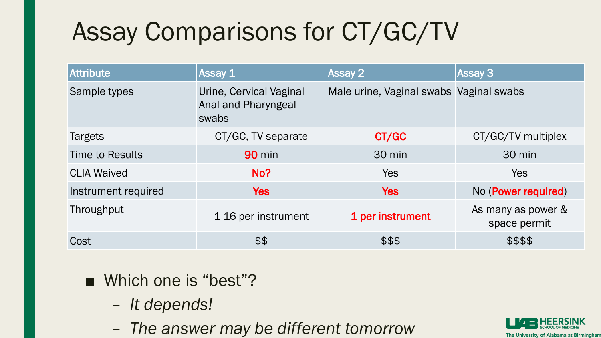# Assay Comparisons for CT/GC/TV

| Attribute              | Assay 1                                                 | <b>Assay 2</b>                          | <b>Assay 3</b>                     |
|------------------------|---------------------------------------------------------|-----------------------------------------|------------------------------------|
| Sample types           | Urine, Cervical Vaginal<br>Anal and Pharyngeal<br>swabs | Male urine, Vaginal swabs Vaginal swabs |                                    |
| <b>Targets</b>         | CT/GC, TV separate                                      | CT/GC                                   | CT/GC/TV multiplex                 |
| <b>Time to Results</b> | <b>90 min</b>                                           | 30 min                                  | 30 min                             |
| <b>CLIA Waived</b>     | No?                                                     | Yes                                     | <b>Yes</b>                         |
| Instrument required    | <b>Yes</b>                                              | <b>Yes</b>                              | No (Power required)                |
| Throughput             | 1-16 per instrument                                     | 1 per instrument                        | As many as power &<br>space permit |
| Cost                   | \$\$                                                    | \$\$\$                                  | \$\$\$\$                           |

- Which one is "best"?
	- *It depends!*
	- *The answer may be different tomorrow*

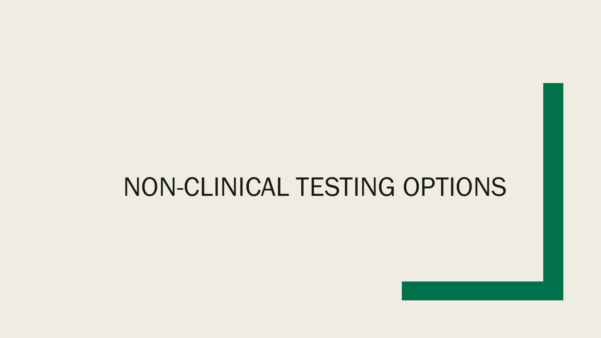#### NON-CLINICAL TESTING OPTIONS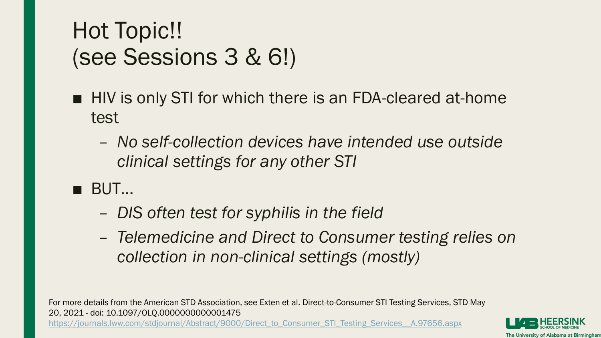#### Hot Topic!! (see Sessions 3 & 6!)

- HIV is only STI for which there is an FDA-cleared at-home test
	- *No self-collection devices have intended use outside clinical settings for any other STI*
- BUT...
	- *DIS often test for syphilis in the field*
	- *Telemedicine and Direct to Consumer testing relies on collection in non-clinical settings (mostly)*

For more details from the American STD Association, see Exten et al. Direct-to-Consumer STI Testing Services, STD May 20, 2021 - doi: 10.1097/OLQ.0000000000001475 [https://journals.lww.com/stdjournal/Abstract/9000/Direct\\_to\\_Consumer\\_STI\\_Testing\\_Services\\_\\_A.97656.aspx](https://journals.lww.com/stdjournal/Abstract/9000/Direct_to_Consumer_STI_Testing_Services__A.97656.aspx)

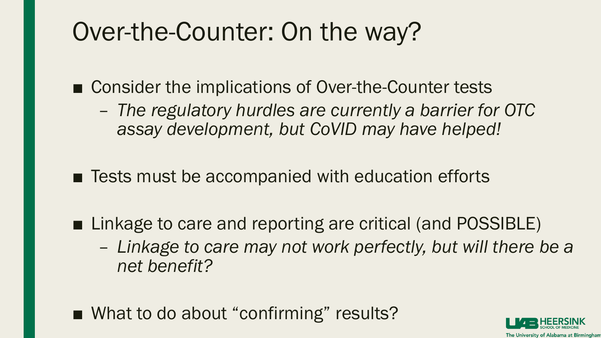# Over-the-Counter: On the way?

■ Consider the implications of Over-the-Counter tests

– *The regulatory hurdles are currently a barrier for OTC assay development, but CoVID may have helped!*

■ Tests must be accompanied with education efforts

- Linkage to care and reporting are critical (and POSSIBLE)
	- *Linkage to care may not work perfectly, but will there be a net benefit?*
- What to do about "confirming" results?